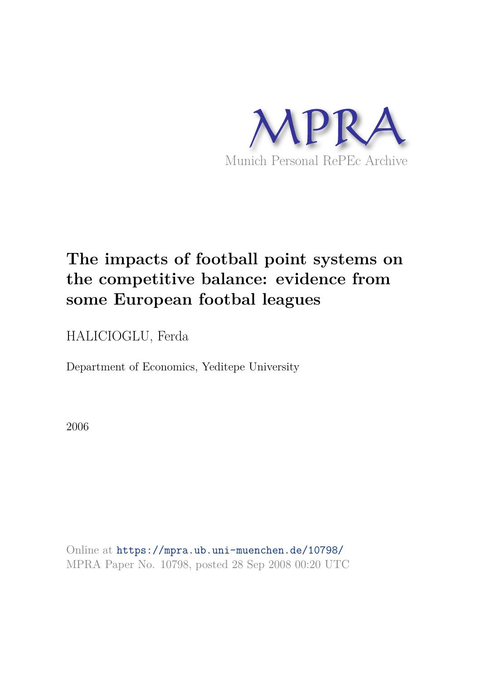

# **The impacts of football point systems on the competitive balance: evidence from some European footbal leagues**

HALICIOGLU, Ferda

Department of Economics, Yeditepe University

2006

Online at https://mpra.ub.uni-muenchen.de/10798/ MPRA Paper No. 10798, posted 28 Sep 2008 00:20 UTC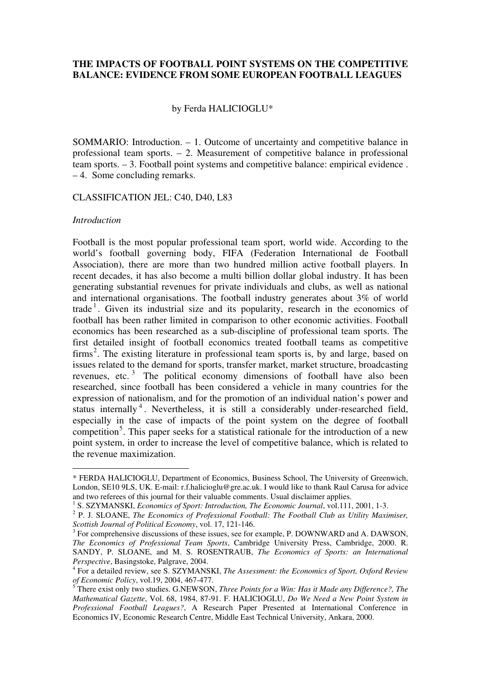## **THE IMPACTS OF FOOTBALL POINT SYSTEMS ON THE COMPETITIVE BALANCE: EVIDENCE FROM SOME EUROPEAN FOOTBALL LEAGUES**

## by Ferda HALICIOGLU\*

SOMMARIO: Introduction. – 1. Outcome of uncertainty and competitive balance in professional team sports. – 2. Measurement of competitive balance in professional team sports. – 3. Football point systems and competitive balance: empirical evidence . – 4. Some concluding remarks.

#### CLASSIFICATION JEL: C40, D40, L83

#### *Introduction*

-

Football is the most popular professional team sport, world wide. According to the world's football governing body, FIFA (Federation International de Football Association), there are more than two hundred million active football players. In recent decades, it has also become a multi billion dollar global industry. It has been generating substantial revenues for private individuals and clubs, as well as national and international organisations. The football industry generates about 3% of world trade<sup>1</sup>. Given its industrial size and its popularity, research in the economics of football has been rather limited in comparison to other economic activities. Football economics has been researched as a sub-discipline of professional team sports. The first detailed insight of football economics treated football teams as competitive firms<sup>2</sup>. The existing literature in professional team sports is, by and large, based on issues related to the demand for sports, transfer market, market structure, broadcasting revenues, etc. $3$  The political economy dimensions of football have also been researched, since football has been considered a vehicle in many countries for the expression of nationalism, and for the promotion of an individual nation's power and status internally<sup>4</sup>. Nevertheless, it is still a considerably under-researched field, especially in the case of impacts of the point system on the degree of football competition<sup>5</sup>. This paper seeks for a statistical rationale for the introduction of a new point system, in order to increase the level of competitive balance, which is related to the revenue maximization.

<sup>\*</sup> FERDA HALICIOGLU, Department of Economics, Business School, The University of Greenwich, London, SE10 9LS, UK. E-mail: r.f.halicioglu@gre.ac.uk. I would like to thank Raul Carusa for advice and two referees of this journal for their valuable comments. Usual disclaimer applies.

<sup>&</sup>lt;sup>1</sup> S. SZYMANSKI, *Economics of Sport: Introduction, The Economic Journal*, vol.111, 2001, 1-3.

<sup>&</sup>lt;sup>2</sup> P. J. SLOANE, *The Economics of Professional Football: The Football Club as Utility Maximiser, Scottish Journal of Political Economy*, vol. 17, 121-146.

 $3$  For comprehensive discussions of these issues, see for example, P. DOWNWARD and A. DAWSON, *The Economics of Professional Team Sports*, Cambridge University Press, Cambridge, 2000. R. SANDY, P. SLOANE, and M. S. ROSENTRAUB, *The Economics of Sports: an International Perspective*, Basingstoke, Palgrave, 2004.

<sup>4</sup> For a detailed review, see S. SZYMANSKI, *The Assessment: the Economics of Sport, Oxford Review of Economic Policy*, vol.19, 2004, 467-477.

<sup>5</sup> There exist only two studies. G.NEWSON, *Three Points for a Win: Has it Made any Difference?, The Mathematical Gazette*, Vol. 68, 1984, 87-91. F. HALICIOGLU, *Do We Need a New Point System in Professional Football Leagues?*, A Research Paper Presented at International Conference in Economics IV, Economic Research Centre, Middle East Technical University, Ankara, 2000.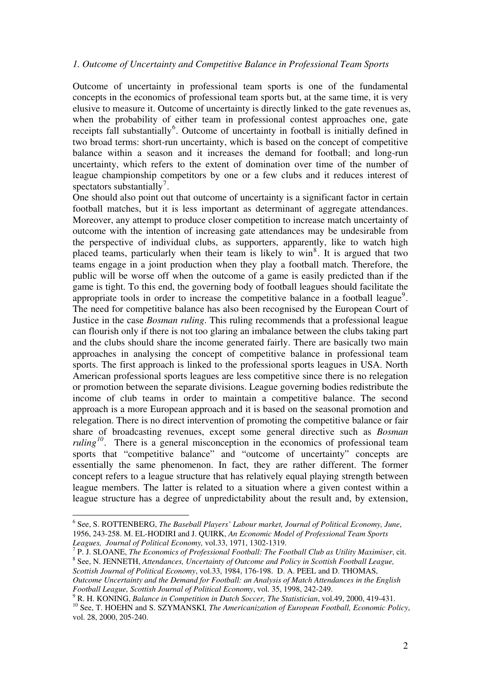### *1. Outcome of Uncertainty and Competitive Balance in Professional Team Sports*

Outcome of uncertainty in professional team sports is one of the fundamental concepts in the economics of professional team sports but, at the same time, it is very elusive to measure it. Outcome of uncertainty is directly linked to the gate revenues as, when the probability of either team in professional contest approaches one, gate receipts fall substantially<sup>6</sup>. Outcome of uncertainty in football is initially defined in two broad terms: short-run uncertainty, which is based on the concept of competitive balance within a season and it increases the demand for football; and long-run uncertainty, which refers to the extent of domination over time of the number of league championship competitors by one or a few clubs and it reduces interest of spectators substantially<sup>7</sup>.

One should also point out that outcome of uncertainty is a significant factor in certain football matches, but it is less important as determinant of aggregate attendances. Moreover, any attempt to produce closer competition to increase match uncertainty of outcome with the intention of increasing gate attendances may be undesirable from the perspective of individual clubs, as supporters, apparently, like to watch high placed teams, particularly when their team is likely to win<sup>8</sup>. It is argued that two teams engage in a joint production when they play a football match. Therefore, the public will be worse off when the outcome of a game is easily predicted than if the game is tight. To this end, the governing body of football leagues should facilitate the appropriate tools in order to increase the competitive balance in a football league<sup>9</sup>. The need for competitive balance has also been recognised by the European Court of Justice in the case *Bosman ruling*. This ruling recommends that a professional league can flourish only if there is not too glaring an imbalance between the clubs taking part and the clubs should share the income generated fairly. There are basically two main approaches in analysing the concept of competitive balance in professional team sports. The first approach is linked to the professional sports leagues in USA. North American professional sports leagues are less competitive since there is no relegation or promotion between the separate divisions. League governing bodies redistribute the income of club teams in order to maintain a competitive balance. The second approach is a more European approach and it is based on the seasonal promotion and relegation. There is no direct intervention of promoting the competitive balance or fair share of broadcasting revenues, except some general directive such as *Bosman ruling*<sup>10</sup>. There is a general misconception in the economics of professional team sports that "competitive balance" and "outcome of uncertainty" concepts are essentially the same phenomenon. In fact, they are rather different. The former concept refers to a league structure that has relatively equal playing strength between league members. The latter is related to a situation where a given contest within a league structure has a degree of unpredictability about the result and, by extension,

-

<sup>6</sup> See, S. ROTTENBERG, *The Baseball Players' Labour market, Journal of Political Economy, June*, 1956, 243-258. M. EL-HODIRI and J. QUIRK, *An Economic Model of Professional Team Sports Leagues, Journal of Political Economy,* vol.33, 1971, 1302-1319.

<sup>7</sup> P. J. SLOANE, *The Economics of Professional Football: The Football Club as Utility Maximiser*, cit. 8 See, N. JENNETH, *Attendances, Uncertainty of Outcome and Policy in Scottish Football League, Scottish Journal of Political Economy*, vol.33, 1984, 176-198. D. A. PEEL and D. THOMAS, *Outcome Uncertainty and the Demand for Football: an Analysis of Match Attendances in the English Football League, Scottish Journal of Political Economy*, vol. 35, 1998, 242-249.

<sup>9</sup> R. H. KONING, *Balance in Competition in Dutch Soccer, The Statistician*, vol.49, 2000, 419-431.

<sup>10</sup> See, T. HOEHN and S. SZYMANSKI*, The Americanization of European Football, Economic Policy*, vol. 28, 2000, 205-240.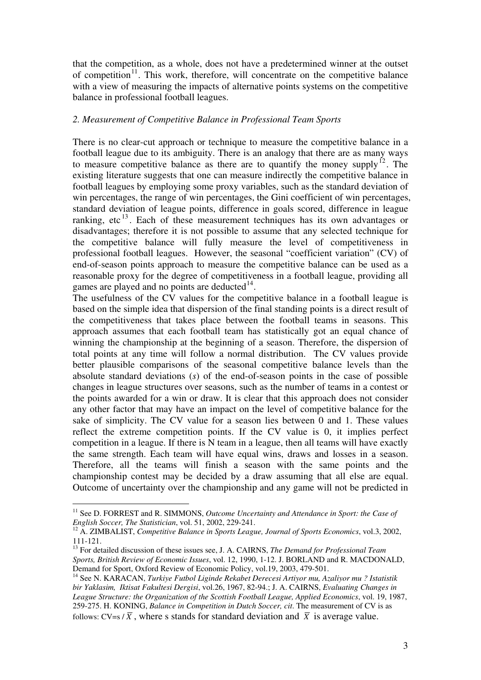that the competition, as a whole, does not have a predetermined winner at the outset of competition<sup>11</sup>. This work, therefore, will concentrate on the competitive balance with a view of measuring the impacts of alternative points systems on the competitive balance in professional football leagues.

## *2. Measurement of Competitive Balance in Professional Team Sports*

There is no clear-cut approach or technique to measure the competitive balance in a football league due to its ambiguity. There is an analogy that there are as many ways to measure competitive balance as there are to quantify the money supply<sup>12</sup>. The existing literature suggests that one can measure indirectly the competitive balance in football leagues by employing some proxy variables, such as the standard deviation of win percentages, the range of win percentages, the Gini coefficient of win percentages, standard deviation of league points, difference in goals scored, difference in league ranking, etc<sup>13</sup>. Each of these measurement techniques has its own advantages or disadvantages; therefore it is not possible to assume that any selected technique for the competitive balance will fully measure the level of competitiveness in professional football leagues. However, the seasonal "coefficient variation" (CV) of end-of-season points approach to measure the competitive balance can be used as a reasonable proxy for the degree of competitiveness in a football league, providing all games are played and no points are deducted $14$ .

The usefulness of the CV values for the competitive balance in a football league is based on the simple idea that dispersion of the final standing points is a direct result of the competitiveness that takes place between the football teams in seasons. This approach assumes that each football team has statistically got an equal chance of winning the championship at the beginning of a season. Therefore, the dispersion of total points at any time will follow a normal distribution. The CV values provide better plausible comparisons of the seasonal competitive balance levels than the absolute standard deviations (*s*) of the end-of-season points in the case of possible changes in league structures over seasons, such as the number of teams in a contest or the points awarded for a win or draw. It is clear that this approach does not consider any other factor that may have an impact on the level of competitive balance for the sake of simplicity. The CV value for a season lies between 0 and 1. These values reflect the extreme competition points. If the CV value is 0, it implies perfect competition in a league. If there is N team in a league, then all teams will have exactly the same strength. Each team will have equal wins, draws and losses in a season. Therefore, all the teams will finish a season with the same points and the championship contest may be decided by a draw assuming that all else are equal. Outcome of uncertainty over the championship and any game will not be predicted in

<u>.</u>

<sup>&</sup>lt;sup>11</sup> See D. FORREST and R. SIMMONS, Outcome Uncertainty and Attendance in Sport: the Case of *English Soccer, The Statistician*, vol. 51, 2002, 229-241.

<sup>&</sup>lt;sup>12</sup> A. ZIMBALIST, *Competitive Balance in Sports League, Journal of Sports Economics*, vol.3, 2002, 111-121.

<sup>13</sup> For detailed discussion of these issues see, J. A. CAIRNS, *The Demand for Professional Team Sports, British Review of Economic Issues*, vol. 12, 1990, 1-12. J. BORLAND and R. MACDONALD, Demand for Sport, Oxford Review of Economic Policy, vol.19, 2003, 479-501.

<sup>14</sup> See N. KARACAN, *Turkiye Futbol Liginde Rekabet Derecesi Artiyor mu, Azaliyor mu ? Istatistik bir Yaklasim, Iktisat Fakultesi Dergisi*, vol.26, 1967, 82-94.; J. A. CAIRNS, *Evaluating Changes in League Structure: the Organization of the Scottish Football League, Applied Economics*, vol. 19, 1987, 259-275. H. KONING, *Balance in Competition in Dutch Soccer, cit*. The measurement of CV is as follows:  $CV=s/\overline{X}$ , where s stands for standard deviation and  $\overline{X}$  is average value.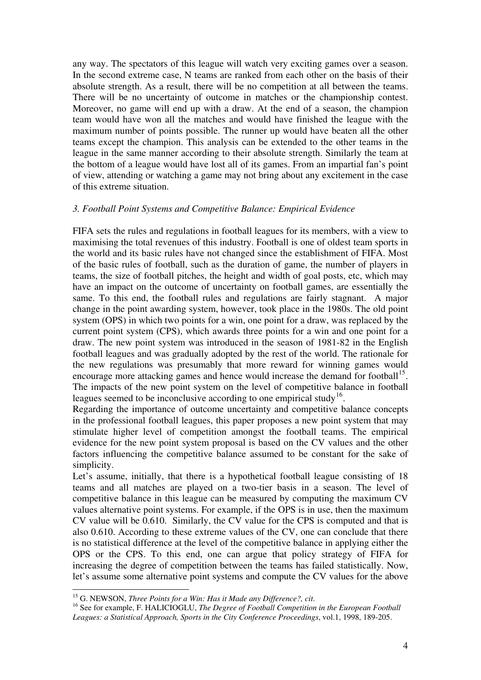any way. The spectators of this league will watch very exciting games over a season. In the second extreme case, N teams are ranked from each other on the basis of their absolute strength. As a result, there will be no competition at all between the teams. There will be no uncertainty of outcome in matches or the championship contest. Moreover, no game will end up with a draw. At the end of a season, the champion team would have won all the matches and would have finished the league with the maximum number of points possible. The runner up would have beaten all the other teams except the champion. This analysis can be extended to the other teams in the league in the same manner according to their absolute strength. Similarly the team at the bottom of a league would have lost all of its games. From an impartial fan's point of view, attending or watching a game may not bring about any excitement in the case of this extreme situation.

## *3. Football Point Systems and Competitive Balance: Empirical Evidence*

FIFA sets the rules and regulations in football leagues for its members, with a view to maximising the total revenues of this industry. Football is one of oldest team sports in the world and its basic rules have not changed since the establishment of FIFA. Most of the basic rules of football, such as the duration of game, the number of players in teams, the size of football pitches, the height and width of goal posts, etc, which may have an impact on the outcome of uncertainty on football games, are essentially the same. To this end, the football rules and regulations are fairly stagnant. A major change in the point awarding system, however, took place in the 1980s. The old point system (OPS) in which two points for a win, one point for a draw, was replaced by the current point system (CPS), which awards three points for a win and one point for a draw. The new point system was introduced in the season of 1981-82 in the English football leagues and was gradually adopted by the rest of the world. The rationale for the new regulations was presumably that more reward for winning games would encourage more attacking games and hence would increase the demand for football<sup>15</sup>. The impacts of the new point system on the level of competitive balance in football leagues seemed to be inconclusive according to one empirical study<sup>16</sup>.

Regarding the importance of outcome uncertainty and competitive balance concepts in the professional football leagues, this paper proposes a new point system that may stimulate higher level of competition amongst the football teams. The empirical evidence for the new point system proposal is based on the CV values and the other factors influencing the competitive balance assumed to be constant for the sake of simplicity.

Let's assume, initially, that there is a hypothetical football league consisting of 18 teams and all matches are played on a two-tier basis in a season. The level of competitive balance in this league can be measured by computing the maximum CV values alternative point systems. For example, if the OPS is in use, then the maximum CV value will be 0.610. Similarly, the CV value for the CPS is computed and that is also 0.610. According to these extreme values of the CV, one can conclude that there is no statistical difference at the level of the competitive balance in applying either the OPS or the CPS. To this end, one can argue that policy strategy of FIFA for increasing the degree of competition between the teams has failed statistically. Now, let's assume some alternative point systems and compute the CV values for the above

<sup>-</sup><sup>15</sup> G. NEWSON, *Three Points for a Win: Has it Made any Difference?, cit*.

<sup>&</sup>lt;sup>16</sup> See for example, F. HALICIOGLU, *The Degree of Football Competition in the European Football Leagues: a Statistical Approach, Sports in the City Conference Proceedings*, vol.1, 1998, 189-205.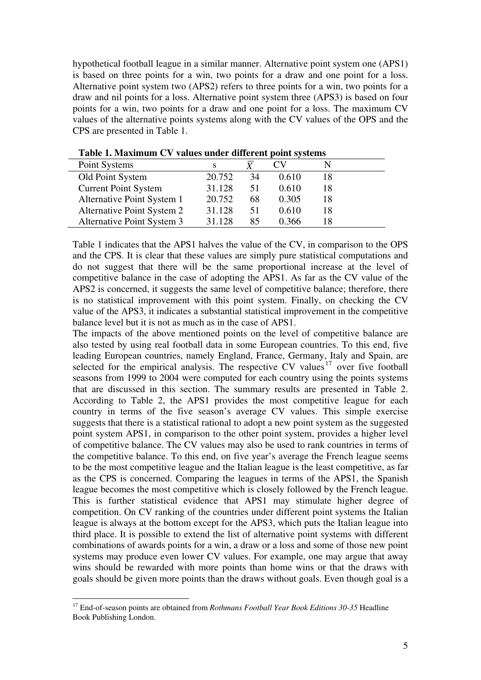hypothetical football league in a similar manner. Alternative point system one (APS1) is based on three points for a win, two points for a draw and one point for a loss. Alternative point system two (APS2) refers to three points for a win, two points for a draw and nil points for a loss. Alternative point system three (APS3) is based on four points for a win, two points for a draw and one point for a loss. The maximum CV values of the alternative points systems along with the CV values of the OPS and the CPS are presented in Table 1.

| Point Systems               |        |    |       |    |  |
|-----------------------------|--------|----|-------|----|--|
| Old Point System            | 20.752 | 34 | 0.610 | 18 |  |
| <b>Current Point System</b> | 31.128 | 51 | 0.610 | 18 |  |
| Alternative Point System 1  | 20.752 | 68 | 0.305 | 18 |  |
| Alternative Point System 2  | 31.128 | 51 | 0.610 | 18 |  |
| Alternative Point System 3  | 31.128 | 85 | 0.366 |    |  |

**Table 1. Maximum CV values under different point systems** 

Table 1 indicates that the APS1 halves the value of the CV, in comparison to the OPS and the CPS. It is clear that these values are simply pure statistical computations and do not suggest that there will be the same proportional increase at the level of competitive balance in the case of adopting the APS1. As far as the CV value of the APS2 is concerned, it suggests the same level of competitive balance; therefore, there is no statistical improvement with this point system. Finally, on checking the CV value of the APS3, it indicates a substantial statistical improvement in the competitive balance level but it is not as much as in the case of APS1.

The impacts of the above mentioned points on the level of competitive balance are also tested by using real football data in some European countries. To this end, five leading European countries, namely England, France, Germany, Italy and Spain, are selected for the empirical analysis. The respective CV values<sup>17</sup> over five football seasons from 1999 to 2004 were computed for each country using the points systems that are discussed in this section. The summary results are presented in Table 2. According to Table 2, the APS1 provides the most competitive league for each country in terms of the five season's average CV values. This simple exercise suggests that there is a statistical rational to adopt a new point system as the suggested point system APS1, in comparison to the other point system, provides a higher level of competitive balance. The CV values may also be used to rank countries in terms of the competitive balance. To this end, on five year's average the French league seems to be the most competitive league and the Italian league is the least competitive, as far as the CPS is concerned. Comparing the leagues in terms of the APS1, the Spanish league becomes the most competitive which is closely followed by the French league. This is further statistical evidence that APS1 may stimulate higher degree of competition. On CV ranking of the countries under different point systems the Italian league is always at the bottom except for the APS3, which puts the Italian league into third place. It is possible to extend the list of alternative point systems with different combinations of awards points for a win, a draw or a loss and some of those new point systems may produce even lower CV values. For example, one may argue that away wins should be rewarded with more points than home wins or that the draws with goals should be given more points than the draws without goals. Even though goal is a

<sup>-</sup><sup>17</sup> End-of-season points are obtained from *Rothmans Football Year Book Editions 30-35* Headline Book Publishing London.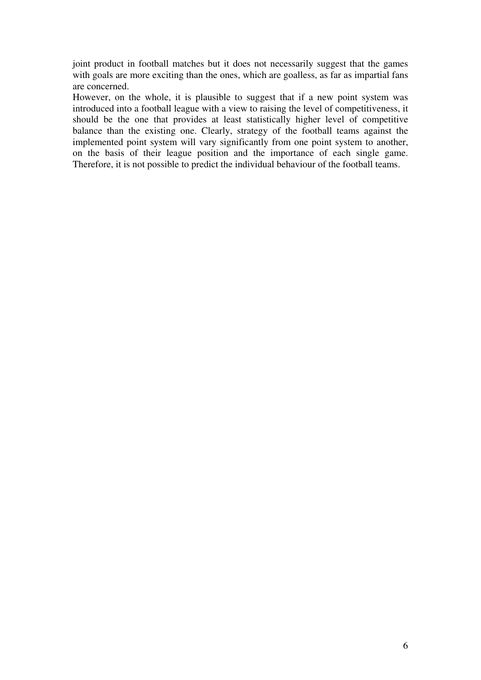joint product in football matches but it does not necessarily suggest that the games with goals are more exciting than the ones, which are goalless, as far as impartial fans are concerned.

However, on the whole, it is plausible to suggest that if a new point system was introduced into a football league with a view to raising the level of competitiveness, it should be the one that provides at least statistically higher level of competitive balance than the existing one. Clearly, strategy of the football teams against the implemented point system will vary significantly from one point system to another, on the basis of their league position and the importance of each single game. Therefore, it is not possible to predict the individual behaviour of the football teams.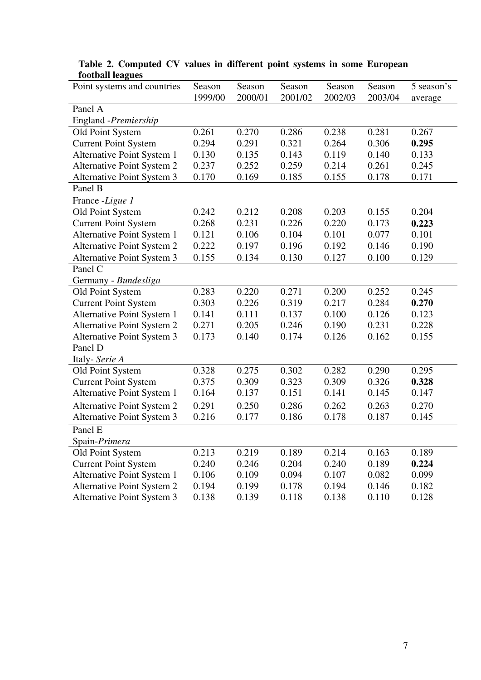| TOOLOGII ICULUCO<br>Point systems and countries | Season  | Season  | Season  | Season  | Season  | 5 season's |
|-------------------------------------------------|---------|---------|---------|---------|---------|------------|
|                                                 | 1999/00 | 2000/01 | 2001/02 | 2002/03 | 2003/04 | average    |
| Panel A                                         |         |         |         |         |         |            |
| England -Premiership                            |         |         |         |         |         |            |
| Old Point System                                | 0.261   | 0.270   | 0.286   | 0.238   | 0.281   | 0.267      |
| <b>Current Point System</b>                     | 0.294   | 0.291   | 0.321   | 0.264   | 0.306   | 0.295      |
| Alternative Point System 1                      | 0.130   | 0.135   | 0.143   | 0.119   | 0.140   | 0.133      |
| Alternative Point System 2                      | 0.237   | 0.252   | 0.259   | 0.214   | 0.261   | 0.245      |
| Alternative Point System 3                      | 0.170   | 0.169   | 0.185   | 0.155   | 0.178   | 0.171      |
| Panel B                                         |         |         |         |         |         |            |
| France -Ligue 1                                 |         |         |         |         |         |            |
| Old Point System                                | 0.242   | 0.212   | 0.208   | 0.203   | 0.155   | 0.204      |
| <b>Current Point System</b>                     | 0.268   | 0.231   | 0.226   | 0.220   | 0.173   | 0.223      |
| Alternative Point System 1                      | 0.121   | 0.106   | 0.104   | 0.101   | 0.077   | 0.101      |
| Alternative Point System 2                      | 0.222   | 0.197   | 0.196   | 0.192   | 0.146   | 0.190      |
| <b>Alternative Point System 3</b>               | 0.155   | 0.134   | 0.130   | 0.127   | 0.100   | 0.129      |
| Panel C                                         |         |         |         |         |         |            |
| Germany - Bundesliga                            |         |         |         |         |         |            |
| Old Point System                                | 0.283   | 0.220   | 0.271   | 0.200   | 0.252   | 0.245      |
| <b>Current Point System</b>                     | 0.303   | 0.226   | 0.319   | 0.217   | 0.284   | 0.270      |
| Alternative Point System 1                      | 0.141   | 0.111   | 0.137   | 0.100   | 0.126   | 0.123      |
| Alternative Point System 2                      | 0.271   | 0.205   | 0.246   | 0.190   | 0.231   | 0.228      |
| Alternative Point System 3                      | 0.173   | 0.140   | 0.174   | 0.126   | 0.162   | 0.155      |
| Panel D                                         |         |         |         |         |         |            |
| Italy-Serie A                                   |         |         |         |         |         |            |
| Old Point System                                | 0.328   | 0.275   | 0.302   | 0.282   | 0.290   | 0.295      |
| <b>Current Point System</b>                     | 0.375   | 0.309   | 0.323   | 0.309   | 0.326   | 0.328      |
| Alternative Point System 1                      | 0.164   | 0.137   | 0.151   | 0.141   | 0.145   | 0.147      |
| Alternative Point System 2                      | 0.291   | 0.250   | 0.286   | 0.262   | 0.263   | 0.270      |
| Alternative Point System 3                      | 0.216   | 0.177   | 0.186   | 0.178   | 0.187   | 0.145      |
| Panel E                                         |         |         |         |         |         |            |
| Spain-Primera                                   |         |         |         |         |         |            |
| Old Point System                                | 0.213   | 0.219   | 0.189   | 0.214   | 0.163   | 0.189      |
| <b>Current Point System</b>                     | 0.240   | 0.246   | 0.204   | 0.240   | 0.189   | 0.224      |
| Alternative Point System 1                      | 0.106   | 0.109   | 0.094   | 0.107   | 0.082   | 0.099      |
| Alternative Point System 2                      | 0.194   | 0.199   | 0.178   | 0.194   | 0.146   | 0.182      |
| Alternative Point System 3                      | 0.138   | 0.139   | 0.118   | 0.138   | 0.110   | 0.128      |

**Table 2. Computed CV values in different point systems in some European football leagues**